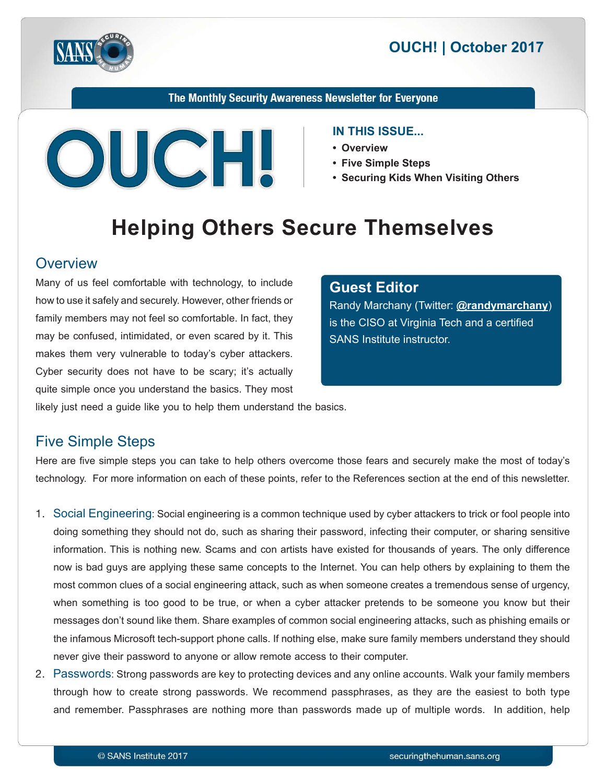



#### The Monthly Security Awareness Newsletter for Everyone



#### **IN THIS ISSUE...**

- **Overview•**
- Five Simple Steps
- Securing Kids When Visiting Others

# **Helping Others Secure Themselves**

#### **Overview**

Many of us feel comfortable with technology, to include how to use it safely and securely. However, other friends or family members may not feel so comfortable. In fact, they may be confused, intimidated, or even scared by it. This makes them very vulnerable to today's cyber attackers. Cyber security does not have to be scary; it's actually quite simple once you understand the basics. They most

#### **Editor Guest**

**Randy Marchany (Twitter: @[randymarchany](https://twitter.com/randymarchany))** is the CISO at Virginia Tech and a certified SANS Institute instructor.

likely just need a guide like you to help them understand the basics.

#### **Five Simple Steps**

Here are five simple steps you can take to help others overcome those fears and securely make the most of today's technology. For more information on each of these points, refer to the References section at the end of this newsletter.

- 1. Social Engineering: Social engineering is a common technique used by cyber attackers to trick or fool people into doing something they should not do, such as sharing their password, infecting their computer, or sharing sensitive information. This is nothing new. Scams and con artists have existed for thousands of years. The only difference now is bad guys are applying these same concepts to the Internet. You can help others by explaining to them the most common clues of a social engineering attack, such as when someone creates a tremendous sense of urgency, when something is too good to be true, or when a cyber attacker pretends to be someone you know but their messages don't sound like them. Share examples of common social engineering attacks, such as phishing emails or the infamous Microsoft tech-support phone calls. If nothing else, make sure family members understand they should never give their password to anyone or allow remote access to their computer.
- 2. Passwords: Strong passwords are key to protecting devices and any online accounts. Walk your family members through how to create strong passwords. We recommend passphrases, as they are the easiest to both type and remember. Passphrases are nothing more than passwords made up of multiple words. In addition, help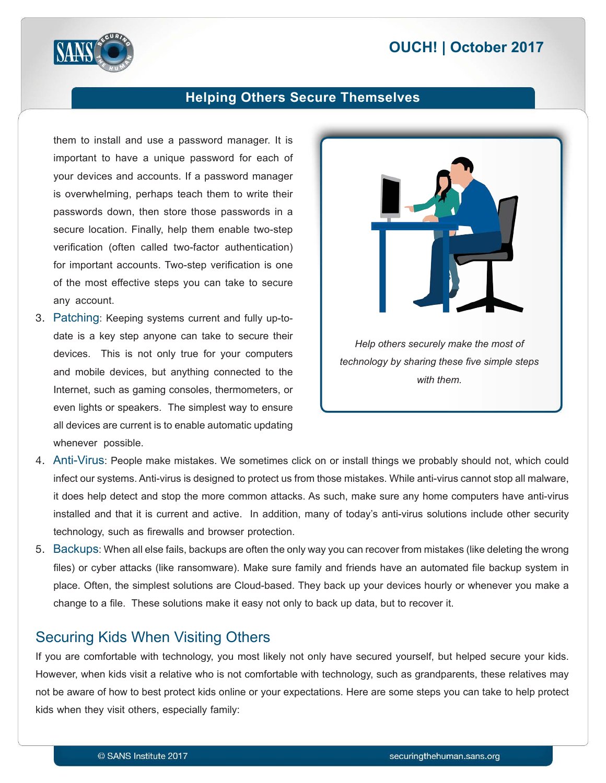## **2017 | October 2017**



#### **Helping Others Secure Themselves**

them to install and use a password manager. It is important to have a unique password for each of your devices and accounts. If a password manager is overwhelming, perhaps teach them to write their passwords down, then store those passwords in a secure location. Finally, help them enable two-step verification (often called two-factor authentication) for important accounts. Two-step verification is one. of the most effective steps you can take to secure any account.

date is a key step anyone can take to secure their 3. Patching: Keeping systems current and fully up-todevices. This is not only true for your computers and mobile devices, but anything connected to the Internet, such as gaming consoles, thermometers, or even lights or speakers. The simplest way to ensure all devices are current is to enable automatic updating whenever possible.



- 4. Anti-Virus: People make mistakes. We sometimes click on or install things we probably should not, which could infect our systems. Anti-virus is designed to protect us from those mistakes. While anti-virus cannot stop all malware, it does help detect and stop the more common attacks. As such, make sure any home computers have anti-virus installed and that it is current and active. In addition, many of today's anti-virus solutions include other security technology, such as firewalls and browser protection.
- 5. Backups: When all else fails, backups are often the only way you can recover from mistakes (like deleting the wrong files) or cyber attacks (like ransomware). Make sure family and friends have an automated file backup system in place. Often, the simplest solutions are Cloud-based. They back up your devices hourly or whenever you make a change to a file. These solutions make it easy not only to back up data, but to recover it.

## **Securing Kids When Visiting Others**

If you are comfortable with technology, you most likely not only have secured yourself, but helped secure your kids. However, when kids visit a relative who is not comfortable with technology, such as grandparents, these relatives may not be aware of how to best protect kids online or your expectations. Here are some steps you can take to help protect kids when they visit others, especially family: